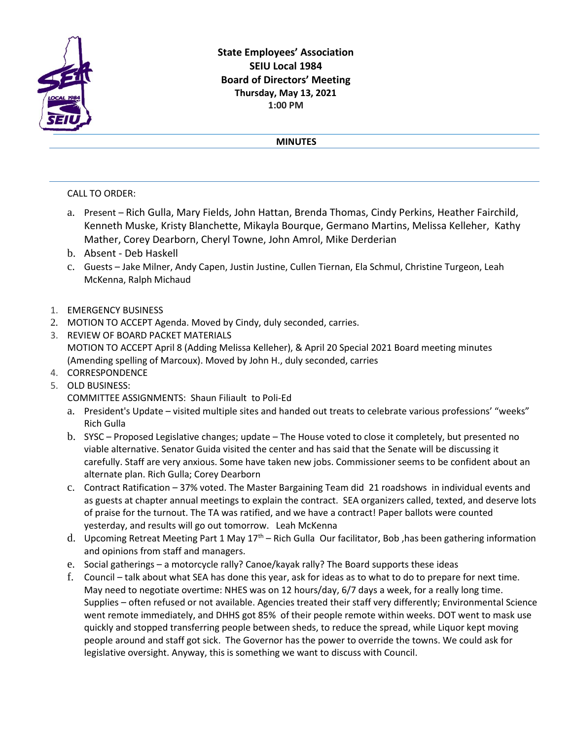

## **State Employees' Association SEIU Local 1984 Board of Directors' Meeting Thursday, May 13, 2021 1:00 PM**

## **MINUTES**

## CALL TO ORDER:

- a. Present Rich Gulla, Mary Fields, John Hattan, Brenda Thomas, Cindy Perkins, Heather Fairchild, Kenneth Muske, Kristy Blanchette, Mikayla Bourque, Germano Martins, Melissa Kelleher, Kathy Mather, Corey Dearborn, Cheryl Towne, John Amrol, Mike Derderian
- b. Absent Deb Haskell
- c. Guests Jake Milner, Andy Capen, Justin Justine, Cullen Tiernan, Ela Schmul, Christine Turgeon, Leah McKenna, Ralph Michaud
- 1. EMERGENCY BUSINESS
- 2. MOTION TO ACCEPT Agenda. Moved by Cindy, duly seconded, carries.
- 3. REVIEW OF BOARD PACKET MATERIALS MOTION TO ACCEPT April 8 (Adding Melissa Kelleher), & April 20 Special 2021 Board meeting minutes (Amending spelling of Marcoux). Moved by John H., duly seconded, carries
- 4. CORRESPONDENCE
- 5. OLD BUSINESS:
	- COMMITTEE ASSIGNMENTS: Shaun Filiault to Poli-Ed
	- a. President's Update visited multiple sites and handed out treats to celebrate various professions' "weeks" Rich Gulla
	- b. SYSC Proposed Legislative changes; update The House voted to close it completely, but presented no viable alternative. Senator Guida visited the center and has said that the Senate will be discussing it carefully. Staff are very anxious. Some have taken new jobs. Commissioner seems to be confident about an alternate plan. Rich Gulla; Corey Dearborn
	- c. Contract Ratification 37% voted. The Master Bargaining Team did 21 roadshows in individual events and as guests at chapter annual meetings to explain the contract. SEA organizers called, texted, and deserve lots of praise for the turnout. The TA was ratified, and we have a contract! Paper ballots were counted yesterday, and results will go out tomorrow. Leah McKenna
	- d. Upcoming Retreat Meeting Part 1 May  $17<sup>th</sup>$  Rich Gulla Our facilitator, Bob, has been gathering information and opinions from staff and managers.
	- e. Social gatherings a motorcycle rally? Canoe/kayak rally? The Board supports these ideas
	- f. Council talk about what SEA has done this year, ask for ideas as to what to do to prepare for next time. May need to negotiate overtime: NHES was on 12 hours/day, 6/7 days a week, for a really long time. Supplies – often refused or not available. Agencies treated their staff very differently; Environmental Science went remote immediately, and DHHS got 85% of their people remote within weeks. DOT went to mask use quickly and stopped transferring people between sheds, to reduce the spread, while Liquor kept moving people around and staff got sick. The Governor has the power to override the towns. We could ask for legislative oversight. Anyway, this is something we want to discuss with Council.